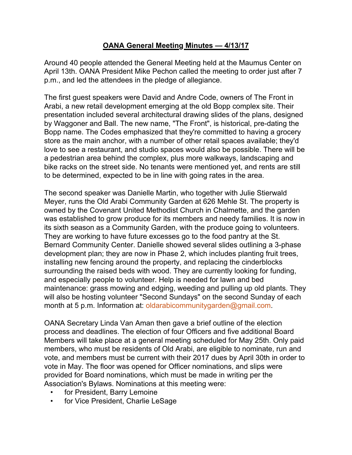## **OANA General Meeting Minutes — 4/13/17**

Around 40 people attended the General Meeting held at the Maumus Center on April 13th. OANA President Mike Pechon called the meeting to order just after 7 p.m., and led the attendees in the pledge of allegiance.

The first guest speakers were David and Andre Code, owners of The Front in Arabi, a new retail development emerging at the old Bopp complex site. Their presentation included several architectural drawing slides of the plans, designed by Waggoner and Ball. The new name, "The Front", is historical, pre-dating the Bopp name. The Codes emphasized that they're committed to having a grocery store as the main anchor, with a number of other retail spaces available; they'd love to see a restaurant, and studio spaces would also be possible. There will be a pedestrian area behind the complex, plus more walkways, landscaping and bike racks on the street side. No tenants were mentioned yet, and rents are still to be determined, expected to be in line with going rates in the area.

The second speaker was Danielle Martin, who together with Julie Stierwald Meyer, runs the Old Arabi Community Garden at 626 Mehle St. The property is owned by the Covenant United Methodist Church in Chalmette, and the garden was established to grow produce for its members and needy families. It is now in its sixth season as a Community Garden, with the produce going to volunteers. They are working to have future excesses go to the food pantry at the St. Bernard Community Center. Danielle showed several slides outlining a 3-phase development plan; they are now in Phase 2, which includes planting fruit trees, installing new fencing around the property, and replacing the cinderblocks surrounding the raised beds with wood. They are currently looking for funding, and especially people to volunteer. Help is needed for lawn and bed maintenance: grass mowing and edging, weeding and pulling up old plants. They will also be hosting volunteer "Second Sundays" on the second Sunday of each month at 5 p.m. Information at: [oldarabicommunitygarden@gmail.com](mailto:oldarabicommunitygarden@gmail.com).

OANA Secretary Linda Van Aman then gave a brief outline of the election process and deadlines. The election of four Officers and five additional Board Members will take place at a general meeting scheduled for May 25th. Only paid members, who must be residents of Old Arabi, are eligible to nominate, run and vote, and members must be current with their 2017 dues by April 30th in order to vote in May. The floor was opened for Officer nominations, and slips were provided for Board nominations, which must be made in writing per the Association's Bylaws. Nominations at this meeting were:

- for President, Barry Lemoine
- for Vice President, Charlie LeSage